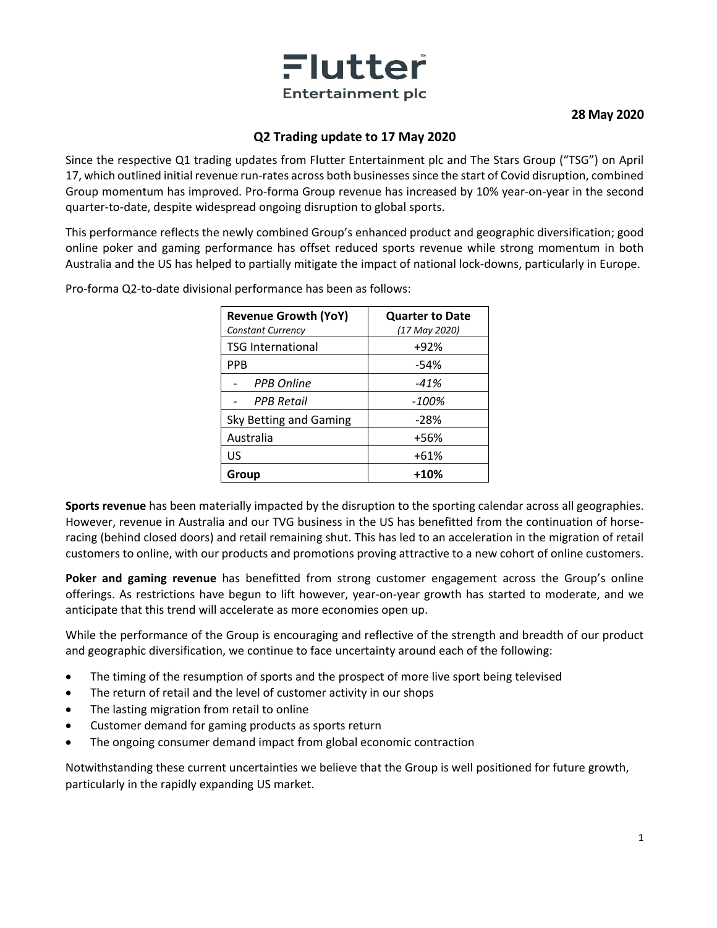

**28 May 2020**

## **Q2 Trading update to 17 May 2020**

Since the respective Q1 trading updates from Flutter Entertainment plc and The Stars Group ("TSG") on April 17, which outlined initial revenue run-rates across both businesses since the start of Covid disruption, combined Group momentum has improved. Pro-forma Group revenue has increased by 10% year-on-year in the second quarter-to-date, despite widespread ongoing disruption to global sports.

This performance reflects the newly combined Group's enhanced product and geographic diversification; good online poker and gaming performance has offset reduced sports revenue while strong momentum in both Australia and the US has helped to partially mitigate the impact of national lock-downs, particularly in Europe.

| <b>Revenue Growth (YoY)</b><br><b>Constant Currency</b> | <b>Quarter to Date</b><br>(17 May 2020) |
|---------------------------------------------------------|-----------------------------------------|
| <b>TSG International</b>                                | +92%                                    |
| PPB                                                     | -54%                                    |
| <b>PPB Online</b>                                       | -41%                                    |
| <b>PPB Retail</b>                                       | $-100\%$                                |
| Sky Betting and Gaming                                  | $-28%$                                  |
| Australia                                               | +56%                                    |
| US                                                      | $+61%$                                  |
| Group                                                   | $+10%$                                  |

Pro-forma Q2-to-date divisional performance has been as follows:

**Sports revenue** has been materially impacted by the disruption to the sporting calendar across all geographies. However, revenue in Australia and our TVG business in the US has benefitted from the continuation of horseracing (behind closed doors) and retail remaining shut. This has led to an acceleration in the migration of retail customers to online, with our products and promotions proving attractive to a new cohort of online customers.

**Poker and gaming revenue** has benefitted from strong customer engagement across the Group's online offerings. As restrictions have begun to lift however, year-on-year growth has started to moderate, and we anticipate that this trend will accelerate as more economies open up.

While the performance of the Group is encouraging and reflective of the strength and breadth of our product and geographic diversification, we continue to face uncertainty around each of the following:

- The timing of the resumption of sports and the prospect of more live sport being televised
- The return of retail and the level of customer activity in our shops
- The lasting migration from retail to online
- Customer demand for gaming products as sports return
- The ongoing consumer demand impact from global economic contraction

Notwithstanding these current uncertainties we believe that the Group is well positioned for future growth, particularly in the rapidly expanding US market.